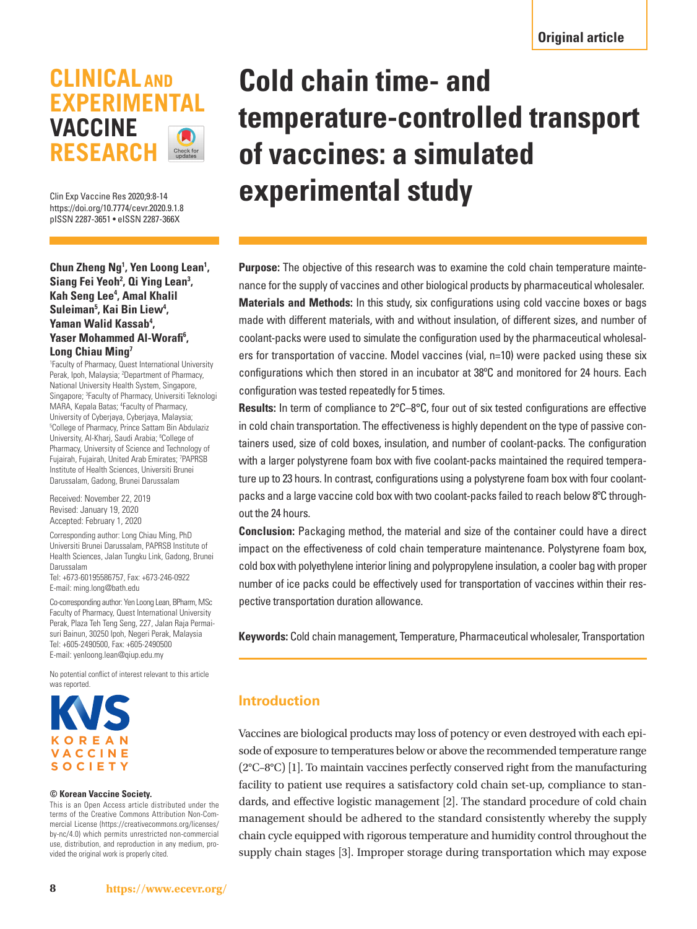## **CLINICAL AND EXPERIMENTAL VACCINE RESEARCH** Check for

Clin Exp Vaccine Res 2020;9:8-14 https://doi.org/10.7774/cevr.2020.9.1.8 pISSN 2287-3651 • eISSN 2287-366X

**Chun Zheng Ng<sup>1</sup> , Yen Loong Lean<sup>1</sup> , Siang Fei Yeoh<sup>2</sup> , Qi Ying Lean<sup>3</sup> , Kah Seng Lee<sup>4</sup> , Amal Khalil Suleiman<sup>5</sup> , Kai Bin Liew<sup>4</sup> , Yaman Walid Kassab<sup>4</sup> , Yaser Mohammed Al-Worafi<sup>6</sup> , Long Chiau Ming<sup>7</sup>**

1 Faculty of Pharmacy, Quest International University Perak, Ipoh, Malaysia; <sup>2</sup>Department of Pharmacy, National University Health System, Singapore, Singapore; <sup>3</sup> Faculty of Pharmacy, Universiti Teknologi MARA, Kepala Batas; <sup>4</sup>Faculty of Pharmacy, University of Cyberjaya, Cyberjaya, Malaysia; 5 College of Pharmacy, Prince Sattam Bin Abdulaziz University, Al-Kharj, Saudi Arabia; <sup>6</sup>College of Pharmacy, University of Science and Technology of Fujairah, Fujairah, United Arab Emirates; <sup>7</sup>PAPRSB Institute of Health Sciences, Universiti Brunei Darussalam, Gadong, Brunei Darussalam

Received: November 22, 2019 Revised: January 19, 2020 Accepted: February 1, 2020

Corresponding author: Long Chiau Ming, PhD Universiti Brunei Darussalam, PAPRSB Institute of Health Sciences, Jalan Tungku Link, Gadong, Brunei Darussalam

Tel: +673-60195586757, Fax: +673-246-0922 E-mail: ming.long@bath.edu

Co-corresponding author: Yen Loong Lean, BPharm, MSc Faculty of Pharmacy, Quest International University Perak, Plaza Teh Teng Seng, 227, Jalan Raja Permaisuri Bainun, 30250 Ipoh, Negeri Perak, Malaysia Tel: +605-2490500, Fax: +605-2490500 E-mail: yenloong.lean@qiup.edu.my

No potential conflict of interest relevant to this article was reported.



#### **© Korean Vaccine Society.**

This is an Open Access article distributed under the terms of the Creative Commons Attribution Non-Commercial License (https://creativecommons.org/licenses/ by-nc/4.0) which permits unrestricted non-commercial use, distribution, and reproduction in any medium, provided the original work is properly cited.

# **Cold chain time- and temperature-controlled transport of vaccines: a simulated experimental study**

**Purpose:** The objective of this research was to examine the cold chain temperature maintenance for the supply of vaccines and other biological products by pharmaceutical wholesaler. **Materials and Methods:** In this study, six configurations using cold vaccine boxes or bags made with different materials, with and without insulation, of different sizes, and number of coolant-packs were used to simulate the configuration used by the pharmaceutical wholesalers for transportation of vaccine. Model vaccines (vial, n=10) were packed using these six configurations which then stored in an incubator at 38ºC and monitored for 24 hours. Each configuration was tested repeatedly for 5 times.

**Results:** In term of compliance to 2°C–8°C, four out of six tested configurations are effective in cold chain transportation. The effectiveness is highly dependent on the type of passive containers used, size of cold boxes, insulation, and number of coolant-packs. The configuration with a larger polystyrene foam box with five coolant-packs maintained the required temperature up to 23 hours. In contrast, configurations using a polystyrene foam box with four coolantpacks and a large vaccine cold box with two coolant-packs failed to reach below 8ºC throughout the 24 hours.

**Conclusion:** Packaging method, the material and size of the container could have a direct impact on the effectiveness of cold chain temperature maintenance. Polystyrene foam box, cold box with polyethylene interior lining and polypropylene insulation, a cooler bag with proper number of ice packs could be effectively used for transportation of vaccines within their respective transportation duration allowance.

**Keywords:** Cold chain management, Temperature, Pharmaceutical wholesaler, Transportation

## **Introduction**

Vaccines are biological products may loss of potency or even destroyed with each episode of exposure to temperatures below or above the recommended temperature range (2°C–8°C) [1]. To maintain vaccines perfectly conserved right from the manufacturing facility to patient use requires a satisfactory cold chain set-up, compliance to standards, and effective logistic management [2]. The standard procedure of cold chain management should be adhered to the standard consistently whereby the supply chain cycle equipped with rigorous temperature and humidity control throughout the supply chain stages [3]. Improper storage during transportation which may expose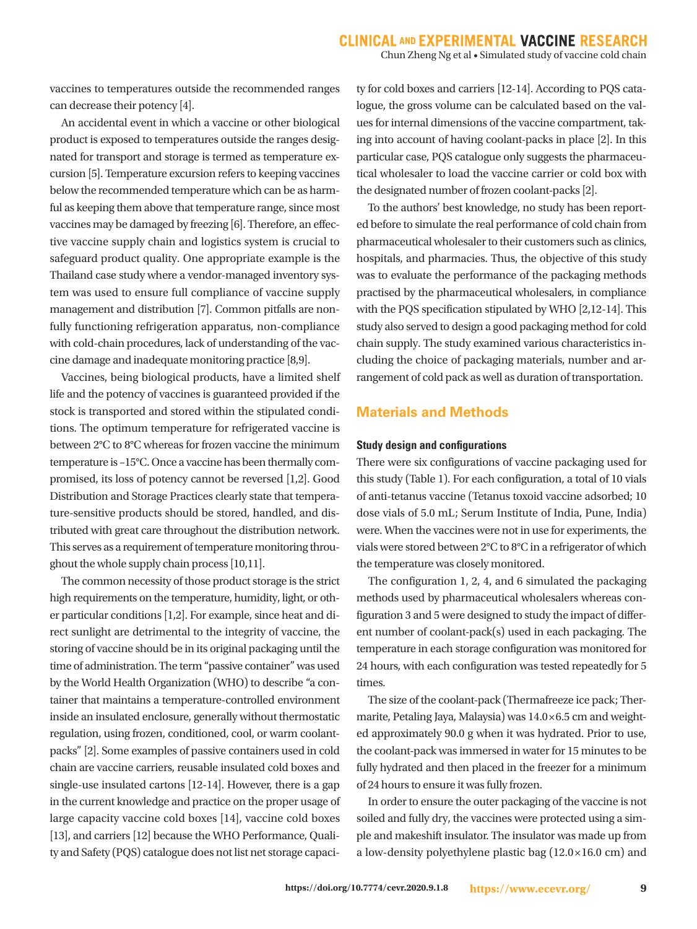vaccines to temperatures outside the recommended ranges can decrease their potency [4].

 An accidental event in which a vaccine or other biological product is exposed to temperatures outside the ranges designated for transport and storage is termed as temperature excursion [5]. Temperature excursion refers to keeping vaccines below the recommended temperature which can be as harmful as keeping them above that temperature range, since most vaccines may be damaged by freezing [6]. Therefore, an effective vaccine supply chain and logistics system is crucial to safeguard product quality. One appropriate example is the Thailand case study where a vendor-managed inventory system was used to ensure full compliance of vaccine supply management and distribution [7]. Common pitfalls are nonfully functioning refrigeration apparatus, non-compliance with cold-chain procedures, lack of understanding of the vaccine damage and inadequate monitoring practice [8,9].

 Vaccines, being biological products, have a limited shelf life and the potency of vaccines is guaranteed provided if the stock is transported and stored within the stipulated conditions. The optimum temperature for refrigerated vaccine is between 2°C to 8°C whereas for frozen vaccine the minimum temperature is –15°C. Once a vaccine has been thermally compromised, its loss of potency cannot be reversed [1,2]. Good Distribution and Storage Practices clearly state that temperature-sensitive products should be stored, handled, and distributed with great care throughout the distribution network. This serves as a requirement of temperature monitoring throughout the whole supply chain process [10,11].

 The common necessity of those product storage is the strict high requirements on the temperature, humidity, light, or other particular conditions [1,2]. For example, since heat and direct sunlight are detrimental to the integrity of vaccine, the storing of vaccine should be in its original packaging until the time of administration. The term "passive container" was used by the World Health Organization (WHO) to describe "a container that maintains a temperature-controlled environment inside an insulated enclosure, generally without thermostatic regulation, using frozen, conditioned, cool, or warm coolantpacks" [2]. Some examples of passive containers used in cold chain are vaccine carriers, reusable insulated cold boxes and single-use insulated cartons [12-14]. However, there is a gap in the current knowledge and practice on the proper usage of large capacity vaccine cold boxes [14], vaccine cold boxes [13], and carriers [12] because the WHO Performance, Quality and Safety (PQS) catalogue does not list net storage capaci-

ty for cold boxes and carriers [12-14]. According to PQS catalogue, the gross volume can be calculated based on the values for internal dimensions of the vaccine compartment, taking into account of having coolant-packs in place [2]. In this particular case, PQS catalogue only suggests the pharmaceutical wholesaler to load the vaccine carrier or cold box with the designated number of frozen coolant-packs [2].

 To the authors' best knowledge, no study has been reported before to simulate the real performance of cold chain from pharmaceutical wholesaler to their customers such as clinics, hospitals, and pharmacies. Thus, the objective of this study was to evaluate the performance of the packaging methods practised by the pharmaceutical wholesalers, in compliance with the PQS specification stipulated by WHO [2,12-14]. This study also served to design a good packaging method for cold chain supply. The study examined various characteristics including the choice of packaging materials, number and arrangement of cold pack as well as duration of transportation.

## **Materials and Methods**

#### **Study design and configurations**

There were six configurations of vaccine packaging used for this study (Table 1). For each configuration, a total of 10 vials of anti-tetanus vaccine (Tetanus toxoid vaccine adsorbed; 10 dose vials of 5.0 mL; Serum Institute of India, Pune, India) were. When the vaccines were not in use for experiments, the vials were stored between 2°C to 8°C in a refrigerator of which the temperature was closely monitored.

 The configuration 1, 2, 4, and 6 simulated the packaging methods used by pharmaceutical wholesalers whereas configuration 3 and 5 were designed to study the impact of different number of coolant-pack(s) used in each packaging. The temperature in each storage configuration was monitored for 24 hours, with each configuration was tested repeatedly for 5 times.

 The size of the coolant-pack (Thermafreeze ice pack; Thermarite, Petaling Jaya, Malaysia) was 14.0×6.5 cm and weighted approximately 90.0 g when it was hydrated. Prior to use, the coolant-pack was immersed in water for 15 minutes to be fully hydrated and then placed in the freezer for a minimum of 24 hours to ensure it was fully frozen.

 In order to ensure the outer packaging of the vaccine is not soiled and fully dry, the vaccines were protected using a simple and makeshift insulator. The insulator was made up from a low-density polyethylene plastic bag (12.0×16.0 cm) and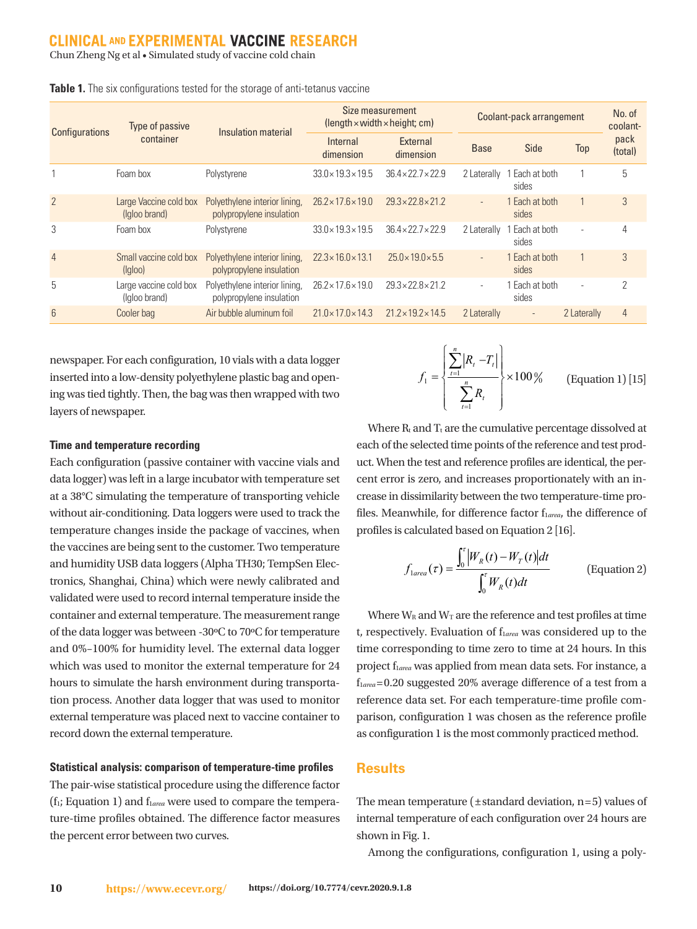## **CLINICAL AND EXPERIMENTAL VACCINE RESEARCH**

Chun Zheng Ng et al • Simulated study of vaccine cold chain

| <b>Configurations</b> | Type of passive<br>container            | Insulation material                                       | Size measurement<br>$\theta$ (length $\times$ width $\times$ height; cm) |                                | Coolant-pack arrangement |                         |                          | No. of<br>coolant- |
|-----------------------|-----------------------------------------|-----------------------------------------------------------|--------------------------------------------------------------------------|--------------------------------|--------------------------|-------------------------|--------------------------|--------------------|
|                       |                                         |                                                           | Internal<br>dimension                                                    | External<br>dimension          | <b>Base</b>              | Side                    | <b>Top</b>               | pack<br>(total)    |
|                       | Foam box                                | Polystyrene                                               | $33.0 \times 19.3 \times 19.5$                                           | $36.4 \times 22.7 \times 22.9$ | 2 Laterally              | I Each at both<br>sides |                          |                    |
| $\overline{2}$        | Large Vaccine cold box<br>(Igloo brand) | Polyethylene interior lining,<br>polypropylene insulation | $26.2 \times 17.6 \times 19.0$                                           | $29.3 \times 22.8 \times 21.2$ | $\sim$                   | Each at both<br>sides   |                          | 3                  |
| 3                     | Foam box                                | Polystyrene                                               | $33.0 \times 19.3 \times 19.5$                                           | $36.4 \times 22.7 \times 22.9$ | 2 Laterally              | Each at both<br>sides   | $\overline{\phantom{a}}$ |                    |
| $\overline{4}$        | Small vaccine cold box<br>(lqloo)       | Polyethylene interior lining,<br>polypropylene insulation | $22.3 \times 16.0 \times 13.1$                                           | $25.0 \times 19.0 \times 5.5$  | $\sim$                   | Each at both<br>sides   |                          | 3                  |
| 5                     | Large vaccine cold box<br>(Igloo brand) | Polyethylene interior lining,<br>polypropylene insulation | $26.2 \times 17.6 \times 19.0$                                           | $29.3 \times 22.8 \times 21.2$ | $\sim$                   | Each at both<br>sides   | $\overline{\phantom{a}}$ | $\Omega$           |
| $6\phantom{a}$        | Cooler bag                              | Air bubble aluminum foil                                  | $21.0 \times 17.0 \times 14.3$                                           | $21.2 \times 19.2 \times 14.5$ | 2 Laterally              | $\sim$                  | 2 Laterally              | $\overline{4}$     |
|                       |                                         |                                                           |                                                                          |                                |                          |                         |                          |                    |

**Table 1.** The six configurations tested for the storage of anti-tetanus vaccine

newspaper. For each configuration, 10 vials with a data logger inserted into a low-density polyethylene plastic bag and opening was tied tightly. Then, the bag was then wrapped with two layers of newspaper.

#### **Time and temperature recording**

Each configuration (passive container with vaccine vials and data logger) was left in a large incubator with temperature set at a 38°C simulating the temperature of transporting vehicle without air-conditioning. Data loggers were used to track the temperature changes inside the package of vaccines, when the vaccines are being sent to the customer. Two temperature and humidity USB data loggers (Alpha TH30; TempSen Electronics, Shanghai, China) which were newly calibrated and validated were used to record internal temperature inside the container and external temperature. The measurement range of the data logger was between -30ºC to 70ºC for temperature and 0%–100% for humidity level. The external data logger which was used to monitor the external temperature for 24 hours to simulate the harsh environment during transportation process. Another data logger that was used to monitor external temperature was placed next to vaccine container to record down the external temperature.

#### **Statistical analysis: comparison of temperature-time profiles**

The pair-wise statistical procedure using the difference factor  $(f_1; Equation 1)$  and  $f_1$ <sub>*area*</sub> were used to compare the temperature-time profiles obtained. The difference factor measures the percent error between two curves.

$$
f_1 = \left\{ \frac{\sum_{t=1}^{n} |R_t - T_t|}{\sum_{t=1}^{n} R_t} \right\} \times 100\,\%
$$
 (Equation 1) [15]

Where  $R_t$  and  $T_t$  are the cumulative percentage dissolved at each of the selected time points of the reference and test product. When the test and reference profiles are identical, the percent error is zero, and increases proportionately with an increase in dissimilarity between the two temperature-time profiles. Meanwhile, for difference factor f<sub>larea</sub>, the difference of profiles is calculated based on Equation 2 [16].

$$
f_{1area}(\tau) = \frac{\int_0^{\tau} |W_R(t) - W_T(t)| dt}{\int_0^{\tau} W_R(t) dt}
$$
 (Equation 2)

Where  $W_R$  and  $W_T$  are the reference and test profiles at time t, respectively. Evaluation of flarea was considered up to the  $\frac{1}{\pi}$  time corresponding to time zero to time at 24 hours. In this project f<sub>larea</sub> was applied from mean data sets. For instance, a f<sup>1</sup>*area* =0.20 suggested 20% average difference of a test from a reference data set. For each temperature-time profile comparison, configuration 1 was chosen as the reference profile as configuration 1 is the most commonly practiced method. as configuration 1 is the most commonly probability  $\mathcal{L}$ 

### **Results**

The mean temperature (±standard deviation, n=5) values of internal temperature of each configuration over 24 hours are shown in Fig. 1.

Among the configurations, configuration 1, using a poly-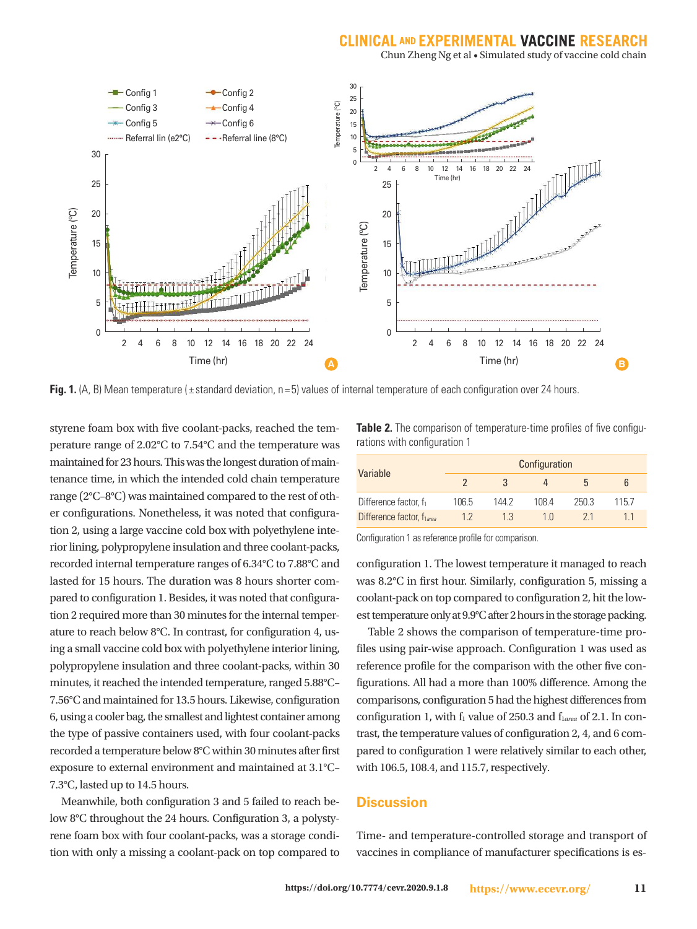## **CLINICAL AND EXPERIMENTAL VACCINE RES**

Chun Zheng Ng et al • Simulated study of vaccine cold chain



**Fig. 1.** (A, B) Mean temperature ( $\pm$  standard deviation, n = 5) values of internal temperature of each configuration over 24 hours.

styrene foam box with five coolant-packs, reached the temperature range of 2.02°C to 7.54°C and the temperature was maintained for 23 hours. This was the longest duration of maintenance time, in which the intended cold chain temperature range (2°C–8°C) was maintained compared to the rest of other configurations. Nonetheless, it was noted that configuration 2, using a large vaccine cold box with polyethylene interior lining, polypropylene insulation and three coolant-packs, recorded internal temperature ranges of 6.34°C to 7.88°C and lasted for 15 hours. The duration was 8 hours shorter compared to configuration 1. Besides, it was noted that configuration 2 required more than 30 minutes for the internal temperature to reach below 8°C. In contrast, for configuration 4, using a small vaccine cold box with polyethylene interior lining, polypropylene insulation and three coolant-packs, within 30 minutes, it reached the intended temperature, ranged 5.88°C– 7.56°C and maintained for 13.5 hours. Likewise, configuration 6, using a cooler bag, the smallest and lightest container among the type of passive containers used, with four coolant-packs recorded a temperature below 8°C within 30 minutes after first exposure to external environment and maintained at 3.1°C– 7.3°C, lasted up to 14.5 hours.

 Meanwhile, both configuration 3 and 5 failed to reach below 8°C throughout the 24 hours. Configuration 3, a polystyrene foam box with four coolant-packs, was a storage condition with only a missing a coolant-pack on top compared to

**Table 2.** The comparison of temperature-time profiles of five configurations with configuration 1

| Variable                          | Configuration |       |      |      |       |  |  |  |  |  |
|-----------------------------------|---------------|-------|------|------|-------|--|--|--|--|--|
|                                   |               |       |      | h    |       |  |  |  |  |  |
| Difference factor, f <sub>1</sub> | 106.5         | 144 2 | 1084 | 2503 | 115 7 |  |  |  |  |  |
| Difference factor, flarea         | 12            | 13    | 1 N  | 21   |       |  |  |  |  |  |

Configuration 1 as reference profile for comparison.

configuration 1. The lowest temperature it managed to reach was 8.2°C in first hour. Similarly, configuration 5, missing a coolant-pack on top compared to configuration 2, hit the lowest temperature only at 9.9°C after 2 hours in the storage packing.

 Table 2 shows the comparison of temperature-time profiles using pair-wise approach. Configuration 1 was used as reference profile for the comparison with the other five configurations. All had a more than 100% difference. Among the comparisons, configuration 5 had the highest differences from configuration 1, with f<sub>1</sub> value of 250.3 and f<sub>1area</sub> of 2.1. In contrast, the temperature values of configuration 2, 4, and 6 compared to configuration 1 were relatively similar to each other, with 106.5, 108.4, and 115.7, respectively.

## **Discussion**

Time- and temperature-controlled storage and transport of vaccines in compliance of manufacturer specifications is es-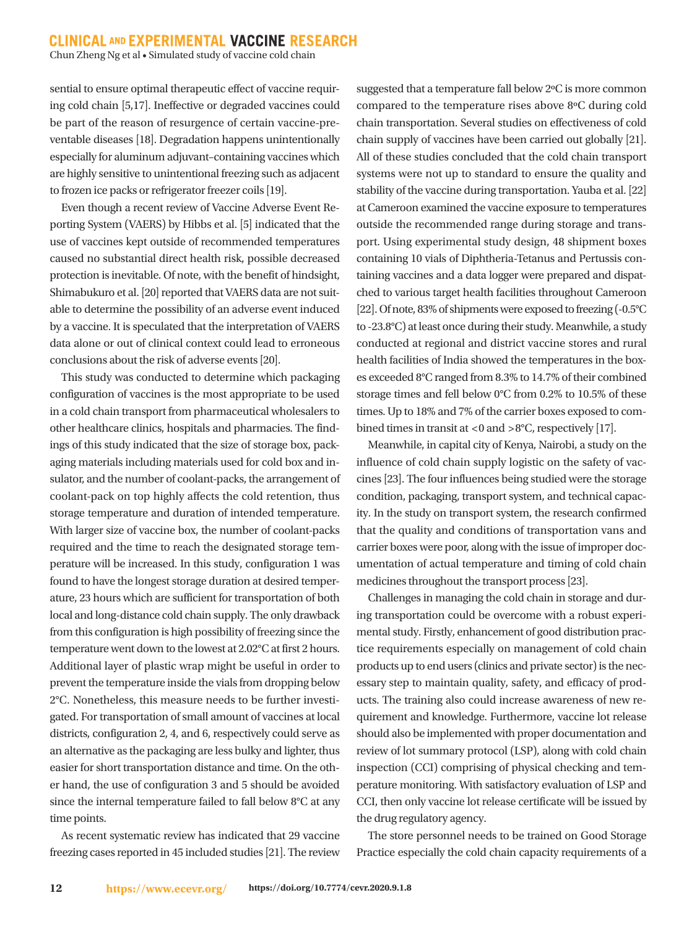## **CLINICAL AND EXPERIMENTAL VACCINE RESEARCH**

Chun Zheng Ng et al • Simulated study of vaccine cold chain

sential to ensure optimal therapeutic effect of vaccine requiring cold chain [5,17]. Ineffective or degraded vaccines could be part of the reason of resurgence of certain vaccine-preventable diseases [18]. Degradation happens unintentionally especially for aluminum adjuvant–containing vaccines which are highly sensitive to unintentional freezing such as adjacent to frozen ice packs or refrigerator freezer coils [19].

 Even though a recent review of Vaccine Adverse Event Reporting System (VAERS) by Hibbs et al. [5] indicated that the use of vaccines kept outside of recommended temperatures caused no substantial direct health risk, possible decreased protection is inevitable. Of note, with the benefit of hindsight, Shimabukuro et al. [20] reported that VAERS data are not suitable to determine the possibility of an adverse event induced by a vaccine. It is speculated that the interpretation of VAERS data alone or out of clinical context could lead to erroneous conclusions about the risk of adverse events [20].

 This study was conducted to determine which packaging configuration of vaccines is the most appropriate to be used in a cold chain transport from pharmaceutical wholesalers to other healthcare clinics, hospitals and pharmacies. The findings of this study indicated that the size of storage box, packaging materials including materials used for cold box and insulator, and the number of coolant-packs, the arrangement of coolant-pack on top highly affects the cold retention, thus storage temperature and duration of intended temperature. With larger size of vaccine box, the number of coolant-packs required and the time to reach the designated storage temperature will be increased. In this study, configuration 1 was found to have the longest storage duration at desired temperature, 23 hours which are sufficient for transportation of both local and long-distance cold chain supply. The only drawback from this configuration is high possibility of freezing since the temperature went down to the lowest at 2.02°C at first 2 hours. Additional layer of plastic wrap might be useful in order to prevent the temperature inside the vials from dropping below 2°C. Nonetheless, this measure needs to be further investigated. For transportation of small amount of vaccines at local districts, configuration 2, 4, and 6, respectively could serve as an alternative as the packaging are less bulky and lighter, thus easier for short transportation distance and time. On the other hand, the use of configuration 3 and 5 should be avoided since the internal temperature failed to fall below 8°C at any time points.

 As recent systematic review has indicated that 29 vaccine freezing cases reported in 45 included studies [21]. The review

suggested that a temperature fall below 2ºC is more common compared to the temperature rises above 8ºC during cold chain transportation. Several studies on effectiveness of cold chain supply of vaccines have been carried out globally [21]. All of these studies concluded that the cold chain transport systems were not up to standard to ensure the quality and stability of the vaccine during transportation. Yauba et al. [22] at Cameroon examined the vaccine exposure to temperatures outside the recommended range during storage and transport. Using experimental study design, 48 shipment boxes containing 10 vials of Diphtheria-Tetanus and Pertussis containing vaccines and a data logger were prepared and dispatched to various target health facilities throughout Cameroon [22]. Of note, 83% of shipments were exposed to freezing (-0.5°C to -23.8°C) at least once during their study. Meanwhile, a study conducted at regional and district vaccine stores and rural health facilities of India showed the temperatures in the boxes exceeded 8°C ranged from 8.3% to 14.7% of their combined storage times and fell below 0°C from 0.2% to 10.5% of these times. Up to 18% and 7% of the carrier boxes exposed to combined times in transit at <0 and >8 $\degree$ C, respectively [17].

 Meanwhile, in capital city of Kenya, Nairobi, a study on the influence of cold chain supply logistic on the safety of vaccines [23]. The four influences being studied were the storage condition, packaging, transport system, and technical capacity. In the study on transport system, the research confirmed that the quality and conditions of transportation vans and carrier boxes were poor, along with the issue of improper documentation of actual temperature and timing of cold chain medicines throughout the transport process [23].

 Challenges in managing the cold chain in storage and during transportation could be overcome with a robust experimental study. Firstly, enhancement of good distribution practice requirements especially on management of cold chain products up to end users (clinics and private sector) is the necessary step to maintain quality, safety, and efficacy of products. The training also could increase awareness of new requirement and knowledge. Furthermore, vaccine lot release should also be implemented with proper documentation and review of lot summary protocol (LSP), along with cold chain inspection (CCI) comprising of physical checking and temperature monitoring. With satisfactory evaluation of LSP and CCI, then only vaccine lot release certificate will be issued by the drug regulatory agency.

 The store personnel needs to be trained on Good Storage Practice especially the cold chain capacity requirements of a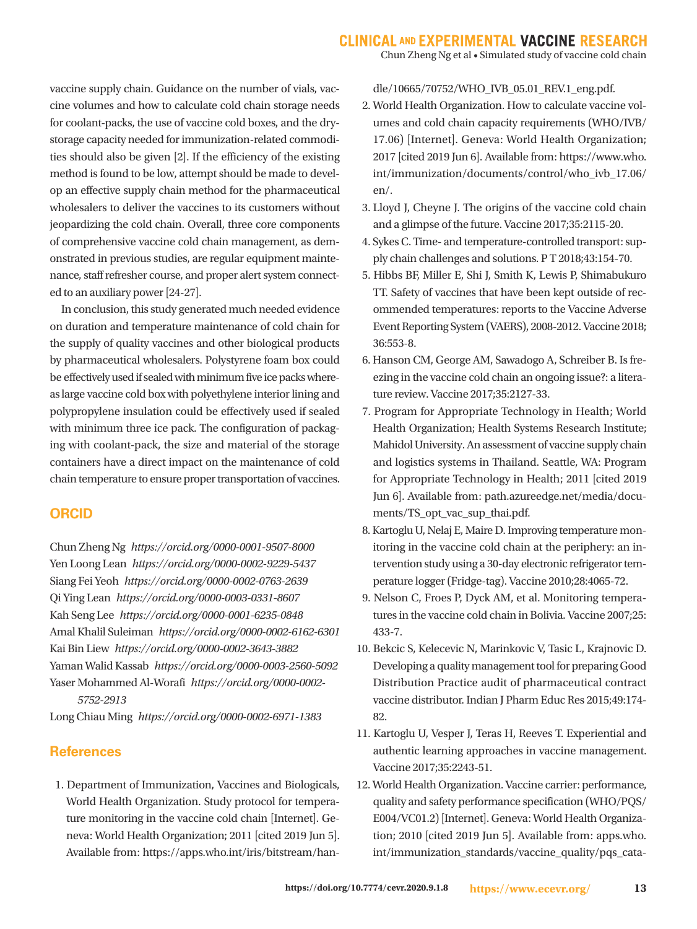Chun Zheng Ng et al • Simulated study of vaccine cold chain

vaccine supply chain. Guidance on the number of vials, vaccine volumes and how to calculate cold chain storage needs for coolant-packs, the use of vaccine cold boxes, and the drystorage capacity needed for immunization-related commodities should also be given [2]. If the efficiency of the existing method is found to be low, attempt should be made to develop an effective supply chain method for the pharmaceutical wholesalers to deliver the vaccines to its customers without jeopardizing the cold chain. Overall, three core components of comprehensive vaccine cold chain management, as demonstrated in previous studies, are regular equipment maintenance, staff refresher course, and proper alert system connected to an auxiliary power [24-27].

 In conclusion, this study generated much needed evidence on duration and temperature maintenance of cold chain for the supply of quality vaccines and other biological products by pharmaceutical wholesalers. Polystyrene foam box could be effectively used if sealed with minimum five ice packs whereas large vaccine cold box with polyethylene interior lining and polypropylene insulation could be effectively used if sealed with minimum three ice pack. The configuration of packaging with coolant-pack, the size and material of the storage containers have a direct impact on the maintenance of cold chain temperature to ensure proper transportation of vaccines.

## **ORCID**

Chun Zheng Ng *https://orcid.org/0000-0001-9507-8000* Yen Loong Lean *https://orcid.org/0000-0002-9229-5437* Siang Fei Yeoh *https://orcid.org/0000-0002-0763-2639* Qi Ying Lean *https://orcid.org/0000-0003-0331-8607* Kah Seng Lee *https://orcid.org/0000-0001-6235-0848* Amal Khalil Suleiman *https://orcid.org/0000-0002-6162-6301* Kai Bin Liew *https://orcid.org/0000-0002-3643-3882* Yaman Walid Kassab *https://orcid.org/0000-0003-2560-5092* Yaser Mohammed Al-Worafi *https://orcid.org/0000-0002- 5752-2913*

Long Chiau Ming *https://orcid.org/0000-0002-6971-1383*

## **References**

1. Department of Immunization, Vaccines and Biologicals, World Health Organization. Study protocol for temperature monitoring in the vaccine cold chain [Internet]. Geneva: World Health Organization; 2011 [cited 2019 Jun 5]. Available from: https://apps.who.int/iris/bitstream/handle/10665/70752/WHO\_IVB\_05.01\_REV.1\_eng.pdf.

- 2. World Health Organization. How to calculate vaccine volumes and cold chain capacity requirements (WHO/IVB/ 17.06) [Internet]. Geneva: World Health Organization; 2017 [cited 2019 Jun 6]. Available from: https://www.who. int/immunization/documents/control/who\_ivb\_17.06/ en/.
- 3. Lloyd J, Cheyne J. The origins of the vaccine cold chain and a glimpse of the future. Vaccine 2017;35:2115-20.
- 4. Sykes C. Time- and temperature-controlled transport: supply chain challenges and solutions. P T 2018;43:154-70.
- 5. Hibbs BF, Miller E, Shi J, Smith K, Lewis P, Shimabukuro TT. Safety of vaccines that have been kept outside of recommended temperatures: reports to the Vaccine Adverse Event Reporting System (VAERS), 2008-2012. Vaccine 2018; 36:553-8.
- 6. Hanson CM, George AM, Sawadogo A, Schreiber B. Is freezing in the vaccine cold chain an ongoing issue?: a literature review. Vaccine 2017;35:2127-33.
- 7. Program for Appropriate Technology in Health; World Health Organization; Health Systems Research Institute; Mahidol University. An assessment of vaccine supply chain and logistics systems in Thailand. Seattle, WA: Program for Appropriate Technology in Health; 2011 [cited 2019 Jun 6]. Available from: path.azureedge.net/media/documents/TS\_opt\_vac\_sup\_thai.pdf.
- 8. Kartoglu U, Nelaj E, Maire D. Improving temperature monitoring in the vaccine cold chain at the periphery: an intervention study using a 30-day electronic refrigerator temperature logger (Fridge-tag). Vaccine 2010;28:4065-72.
- 9. Nelson C, Froes P, Dyck AM, et al. Monitoring temperatures in the vaccine cold chain in Bolivia. Vaccine 2007;25: 433-7.
- 10. Bekcic S, Kelecevic N, Marinkovic V, Tasic L, Krajnovic D. Developing a quality management tool for preparing Good Distribution Practice audit of pharmaceutical contract vaccine distributor. Indian J Pharm Educ Res 2015;49:174- 82.
- 11. Kartoglu U, Vesper J, Teras H, Reeves T. Experiential and authentic learning approaches in vaccine management. Vaccine 2017;35:2243-51.
- 12. World Health Organization. Vaccine carrier: performance, quality and safety performance specification (WHO/PQS/ E004/VC01.2) [Internet]. Geneva: World Health Organization; 2010 [cited 2019 Jun 5]. Available from: apps.who. int/immunization\_standards/vaccine\_quality/pqs\_cata-